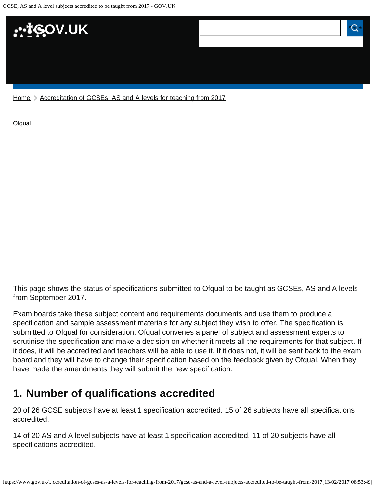

[Home](https://www.gov.uk/) > [Accreditation of GCSEs, AS and A levels for teaching from 2017](https://www.gov.uk/government/publications/accreditation-of-gcses-as-a-levels-for-teaching-from-2017)

**[Ofqual](https://www.gov.uk/government/organisations/ofqual)** 

This page shows the status of specifications submitted to Ofqual to be taught as GCSEs, AS and A levels from September 2017.

Exam boards take these subject content and requirements documents and use them to produce a specification and sample assessment materials for any subject they wish to offer. The specification is submitted to Ofqual for consideration. Ofqual convenes a panel of subject and assessment experts to scrutinise the specification and make a decision on whether it meets all the requirements for that subject. If it does, it will be accredited and teachers will be able to use it. If it does not, it will be sent back to the exam board and they will have to change their specification based on the feedback given by Ofqual. When they have made the amendments they will submit the new specification.

## <span id="page-0-0"></span>**1. Number of qualifications accredited**

20 of 26 GCSE subjects have at least 1 specification accredited. 15 of 26 subjects have all specifications accredited.

14 of 20 AS and A level subjects have at least 1 specification accredited. 11 of 20 subjects have all specifications accredited.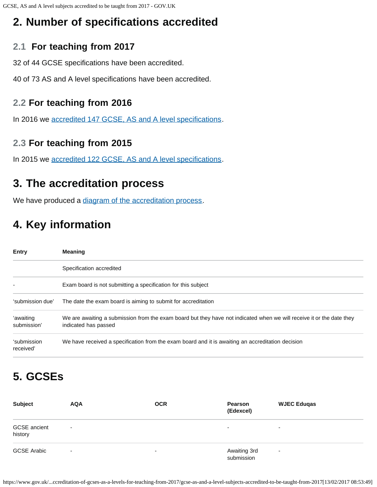## <span id="page-1-0"></span>**2. Number of specifications accredited**

## **2.1 For teaching from 2017**

32 of 44 GCSE specifications have been accredited.

40 of 73 AS and A level specifications have been accredited.

### **2.2 For teaching from 2016**

In 2016 we [accredited 147 GCSE, AS and A level specifications.](https://www.gov.uk/government/publications/accreditation-of-gcses-as-a-levels-for-teaching-from-2016)

### **2.3 For teaching from 2015**

In 2015 we [accredited 122 GCSE, AS and A level specifications.](https://www.gov.uk/government/publications/new-gcses-as-and-a-levels-accredited-to-be-taught-from-2015)

## <span id="page-1-1"></span>**3. The accreditation process**

We have produced a [diagram of the accreditation process.](https://www.gov.uk/government/publications/your-qualification-our-regulation-gcse-as-and-a-level-reforms#attachment_1634078)

# <span id="page-1-2"></span>**4. Key information**

| Entry                    | <b>Meaning</b>                                                                                                                                |  |  |  |
|--------------------------|-----------------------------------------------------------------------------------------------------------------------------------------------|--|--|--|
|                          | Specification accredited                                                                                                                      |  |  |  |
|                          | Exam board is not submitting a specification for this subject                                                                                 |  |  |  |
| 'submission due'         | The date the exam board is aiming to submit for accreditation                                                                                 |  |  |  |
| 'awaiting<br>submission' | We are awaiting a submission from the exam board but they have not indicated when we will receive it or the date they<br>indicated has passed |  |  |  |
| 'submission<br>received' | We have received a specification from the exam board and it is awaiting an accreditation decision                                             |  |  |  |

## <span id="page-1-3"></span>**5. GCSEs**

| <b>Subject</b>                 | <b>AQA</b>               | <b>OCR</b>               | Pearson<br>(Edexcel)       | <b>WJEC Eduqas</b> |
|--------------------------------|--------------------------|--------------------------|----------------------------|--------------------|
| <b>GCSE</b> ancient<br>history | $\overline{\phantom{a}}$ |                          | $\overline{\phantom{0}}$   | ۰                  |
| <b>GCSE Arabic</b>             | ۰                        | $\overline{\phantom{a}}$ | Awaiting 3rd<br>submission | ۰                  |

https://www.gov.uk/...ccreditation-of-gcses-as-a-levels-for-teaching-from-2017/gcse-as-and-a-level-subjects-accredited-to-be-taught-from-2017[13/02/2017 08:53:49]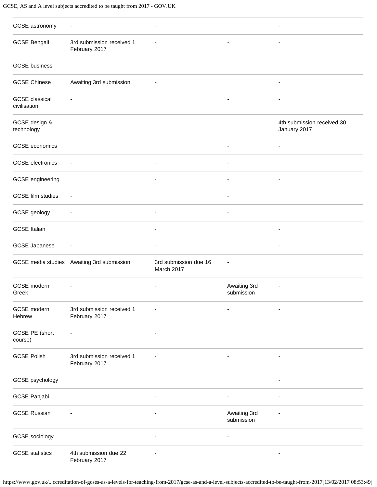#### GCSE, AS and A level subjects accredited to be taught from 2017 - GOV.UK

| GCSE astronomy                        | $\overline{\phantom{a}}$                   |                                     |                              |                                            |
|---------------------------------------|--------------------------------------------|-------------------------------------|------------------------------|--------------------------------------------|
| <b>GCSE Bengali</b>                   | 3rd submission received 1<br>February 2017 |                                     | $\overline{\phantom{a}}$     | $\overline{\phantom{a}}$                   |
| <b>GCSE</b> business                  |                                            |                                     |                              |                                            |
| <b>GCSE Chinese</b>                   | Awaiting 3rd submission                    |                                     |                              | $\overline{\phantom{a}}$                   |
| <b>GCSE</b> classical<br>civilisation |                                            |                                     | ä,                           |                                            |
| GCSE design &<br>technology           |                                            |                                     |                              | 4th submission received 30<br>January 2017 |
| GCSE economics                        |                                            |                                     | $\overline{\phantom{a}}$     | $\overline{\phantom{a}}$                   |
| <b>GCSE</b> electronics               | $\overline{\phantom{a}}$                   |                                     |                              |                                            |
| GCSE engineering                      |                                            | ÷,                                  | $\blacksquare$               |                                            |
| <b>GCSE</b> film studies              | $\overline{\phantom{a}}$                   |                                     | $\overline{\phantom{a}}$     |                                            |
| GCSE geology                          | $\overline{\phantom{a}}$                   | $\overline{\phantom{a}}$            | $\blacksquare$               |                                            |
| <b>GCSE Italian</b>                   |                                            |                                     |                              |                                            |
| <b>GCSE Japanese</b>                  |                                            | ÷,                                  |                              | $\overline{\phantom{a}}$                   |
|                                       | GCSE media studies Awaiting 3rd submission | 3rd submission due 16<br>March 2017 |                              |                                            |
| GCSE modern<br>Greek                  |                                            |                                     | Awaiting 3rd<br>submission   |                                            |
| GCSE modern<br>Hebrew                 | 3rd submission received 1<br>February 2017 |                                     |                              |                                            |
| GCSE PE (short<br>course)             |                                            |                                     |                              |                                            |
| <b>GCSE Polish</b>                    | 3rd submission received 1<br>February 2017 |                                     | $\qquad \qquad \blacksquare$ |                                            |
| GCSE psychology                       |                                            |                                     |                              |                                            |
| GCSE Panjabi                          |                                            |                                     | $\overline{\phantom{a}}$     |                                            |
| <b>GCSE Russian</b>                   |                                            |                                     | Awaiting 3rd<br>submission   |                                            |
| GCSE sociology                        |                                            | $\overline{a}$                      | $\overline{\phantom{a}}$     |                                            |
| <b>GCSE</b> statistics                | 4th submission due 22<br>February 2017     |                                     |                              |                                            |

https://www.gov.uk/...ccreditation-of-gcses-as-a-levels-for-teaching-from-2017/gcse-as-and-a-level-subjects-accredited-to-be-taught-from-2017[13/02/2017 08:53:49]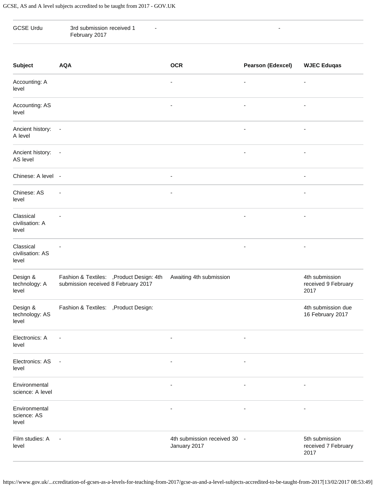| <b>GCSE Urdu</b>                       | 3rd submission received 1<br>February 2017                                       |                                              | ۰                            |                                               |
|----------------------------------------|----------------------------------------------------------------------------------|----------------------------------------------|------------------------------|-----------------------------------------------|
| <b>Subject</b>                         | <b>AQA</b>                                                                       | <b>OCR</b>                                   | <b>Pearson (Edexcel)</b>     | <b>WJEC Eduqas</b>                            |
| Accounting: A<br>level                 |                                                                                  |                                              |                              |                                               |
| Accounting: AS<br>level                |                                                                                  | ٠                                            | $\qquad \qquad \blacksquare$ | ٠                                             |
| Ancient history:<br>A level            | $\sim$ $-$                                                                       |                                              | $\qquad \qquad \blacksquare$ | $\overline{a}$                                |
| Ancient history: -<br>AS level         |                                                                                  |                                              | $\overline{\phantom{a}}$     | ٠                                             |
| Chinese: A level -                     |                                                                                  | $\overline{\phantom{a}}$                     |                              | $\overline{\phantom{a}}$                      |
| Chinese: AS<br>level                   |                                                                                  | ٠                                            |                              | $\overline{a}$                                |
| Classical<br>civilisation: A<br>level  |                                                                                  |                                              | $\overline{\phantom{0}}$     | -                                             |
| Classical<br>civilisation: AS<br>level |                                                                                  |                                              | $\qquad \qquad \blacksquare$ | ٠                                             |
| Design &<br>technology: A<br>level     | Fashion & Textiles: , Product Design: 4th<br>submission received 8 February 2017 | Awaiting 4th submission                      |                              | 4th submission<br>received 9 February<br>2017 |
| Design &<br>technology: AS<br>level    | Fashion & Textiles: , Product Design:                                            |                                              |                              | 4th submission due<br>16 February 2017        |
| Electronics: A<br>level                | $\overline{\phantom{a}}$                                                         | ÷,                                           | $\overline{\phantom{a}}$     |                                               |
| Electronics: AS<br>level               | $\blacksquare$                                                                   | $\overline{\phantom{a}}$                     | $\qquad \qquad \blacksquare$ |                                               |
| Environmental<br>science: A level      |                                                                                  | ٠                                            | $\qquad \qquad \blacksquare$ | ٠                                             |
| Environmental<br>science: AS<br>level  |                                                                                  | $\overline{a}$                               | $\overline{\phantom{a}}$     | ٠                                             |
| Film studies: A<br>level               | $\overline{\phantom{a}}$                                                         | 4th submission received 30 -<br>January 2017 |                              | 5th submission<br>received 7 February<br>2017 |

https://www.gov.uk/...ccreditation-of-gcses-as-a-levels-for-teaching-from-2017/gcse-as-and-a-level-subjects-accredited-to-be-taught-from-2017[13/02/2017 08:53:49]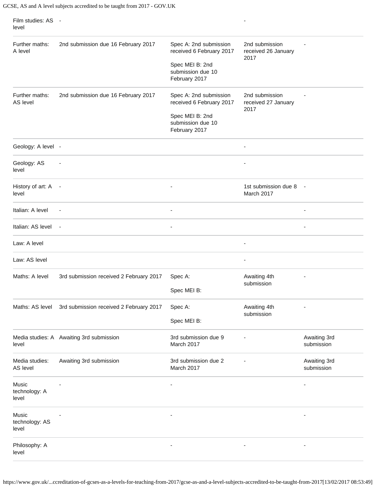| Film studies: AS -<br>level      |                                          |                                                       |                                               |                            |
|----------------------------------|------------------------------------------|-------------------------------------------------------|-----------------------------------------------|----------------------------|
| Further maths:<br>A level        | 2nd submission due 16 February 2017      | Spec A: 2nd submission<br>received 6 February 2017    | 2nd submission<br>received 26 January<br>2017 |                            |
|                                  |                                          | Spec MEI B: 2nd<br>submission due 10<br>February 2017 |                                               |                            |
| Further maths:<br>AS level       | 2nd submission due 16 February 2017      | Spec A: 2nd submission<br>received 6 February 2017    | 2nd submission<br>received 27 January<br>2017 |                            |
|                                  |                                          | Spec MEI B: 2nd<br>submission due 10<br>February 2017 |                                               |                            |
| Geology: A level -               |                                          |                                                       |                                               |                            |
| Geology: AS<br>level             |                                          |                                                       |                                               |                            |
| History of art: A<br>level       | $\sim$                                   |                                                       | 1st submission due 8<br>March 2017            | $\overline{\phantom{a}}$   |
| Italian: A level                 | $\overline{\phantom{a}}$                 | $\overline{\phantom{a}}$                              |                                               | $\overline{\phantom{0}}$   |
| Italian: AS level                | $\overline{\phantom{a}}$                 |                                                       |                                               |                            |
| Law: A level                     |                                          |                                                       | $\overline{\phantom{a}}$                      |                            |
| Law: AS level                    |                                          |                                                       | $\overline{\phantom{a}}$                      |                            |
| Maths: A level                   | 3rd submission received 2 February 2017  | Spec A:<br>Spec MEI B:                                | Awaiting 4th<br>submission                    |                            |
| Maths: AS level                  | 3rd submission received 2 February 2017  | Spec A:                                               | Awaiting 4th                                  |                            |
|                                  |                                          | Spec MEI B:                                           | submission                                    |                            |
| level                            | Media studies: A Awaiting 3rd submission | 3rd submission due 9<br>March 2017                    |                                               | Awaiting 3rd<br>submission |
| Media studies:<br>AS level       | Awaiting 3rd submission                  | 3rd submission due 2<br>March 2017                    |                                               | Awaiting 3rd<br>submission |
| Music<br>technology: A<br>level  |                                          |                                                       |                                               |                            |
| Music<br>technology: AS<br>level |                                          |                                                       |                                               |                            |
| Philosophy: A<br>level           |                                          |                                                       |                                               |                            |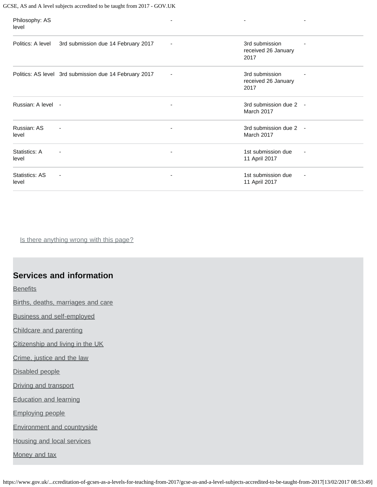#### GCSE, AS and A level subjects accredited to be taught from 2017 - GOV.UK

| Philosophy: AS<br>level |                                                        |                          | $\blacksquare$                                |   |
|-------------------------|--------------------------------------------------------|--------------------------|-----------------------------------------------|---|
| Politics: A level       | 3rd submission due 14 February 2017                    | ٠                        | 3rd submission<br>received 26 January<br>2017 |   |
|                         | Politics: AS level 3rd submission due 14 February 2017 |                          | 3rd submission<br>received 26 January<br>2017 |   |
| Russian: A level -      |                                                        | $\overline{\phantom{a}}$ | 3rd submission due 2 -<br>March 2017          |   |
| Russian: AS<br>level    | $\overline{\phantom{a}}$                               | $\overline{\phantom{a}}$ | 3rd submission due 2 -<br>March 2017          |   |
| Statistics: A<br>level  | $\overline{\phantom{a}}$                               |                          | 1st submission due<br>11 April 2017           | ٠ |
| Statistics: AS<br>level | $\overline{\phantom{a}}$                               |                          | 1st submission due<br>11 April 2017           |   |

Is there anything wrong with this page?

### **Services and information**

**[Benefits](https://www.gov.uk/browse/benefits)** 

[Births, deaths, marriages and care](https://www.gov.uk/browse/births-deaths-marriages)

[Business and self-employed](https://www.gov.uk/browse/business)

[Childcare and parenting](https://www.gov.uk/browse/childcare-parenting)

[Citizenship and living in the UK](https://www.gov.uk/browse/citizenship)

[Crime, justice and the law](https://www.gov.uk/browse/justice)

[Disabled people](https://www.gov.uk/browse/disabilities)

[Driving and transport](https://www.gov.uk/browse/driving)

[Education and learning](https://www.gov.uk/browse/education)

[Employing people](https://www.gov.uk/browse/employing-people)

[Environment and countryside](https://www.gov.uk/browse/environment-countryside)

[Housing and local services](https://www.gov.uk/browse/housing-local-services)

[Money and tax](https://www.gov.uk/browse/tax)